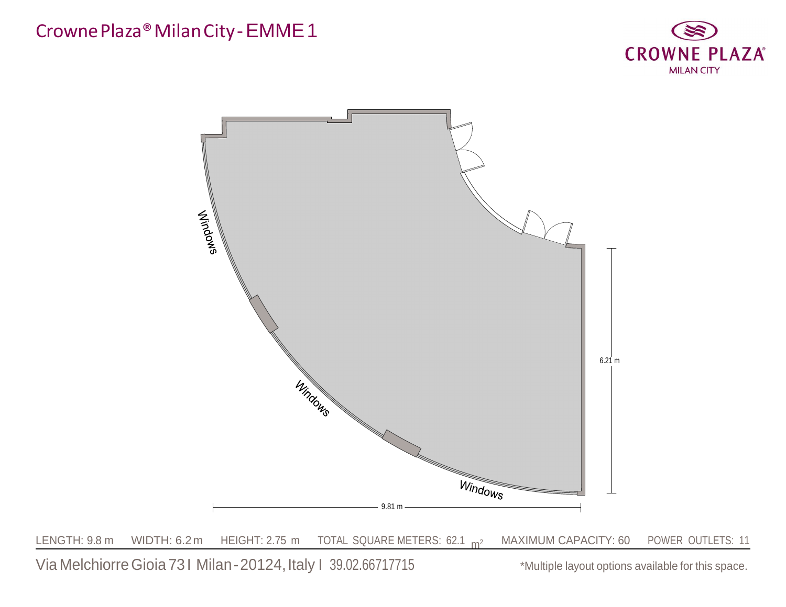

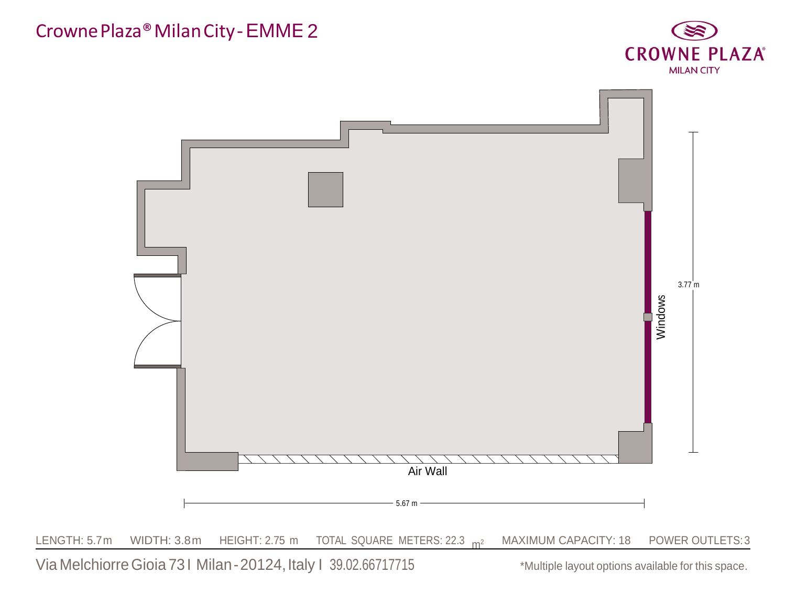

Via Melchiorre Gioia 731 Milan-20124, Italy 1 39.02.66717715 \*Multiple layout options available for this space.

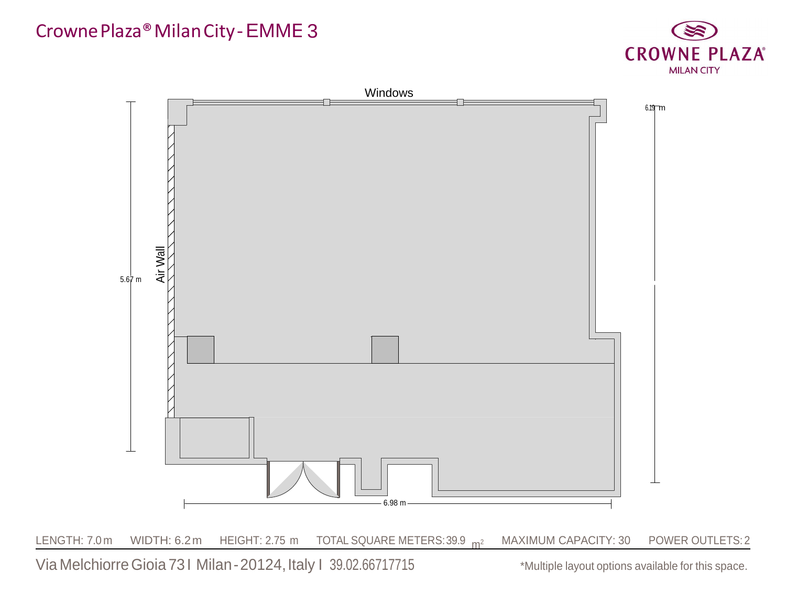

Via Melchiorre Gioia 731 Milan-20124, Italy 1 39.02.66717715 \*Multiple layout options available for this space.

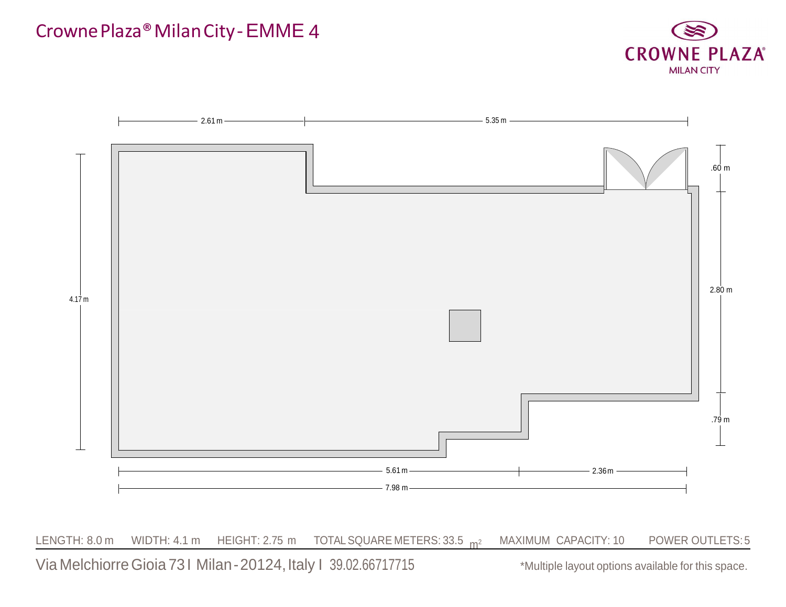

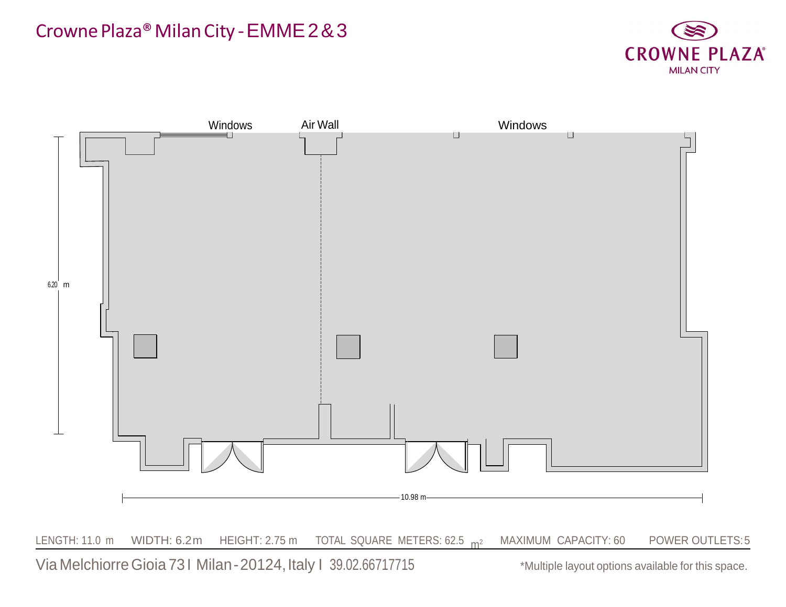#### CrownePlaza®MilanCity -EMME2&3